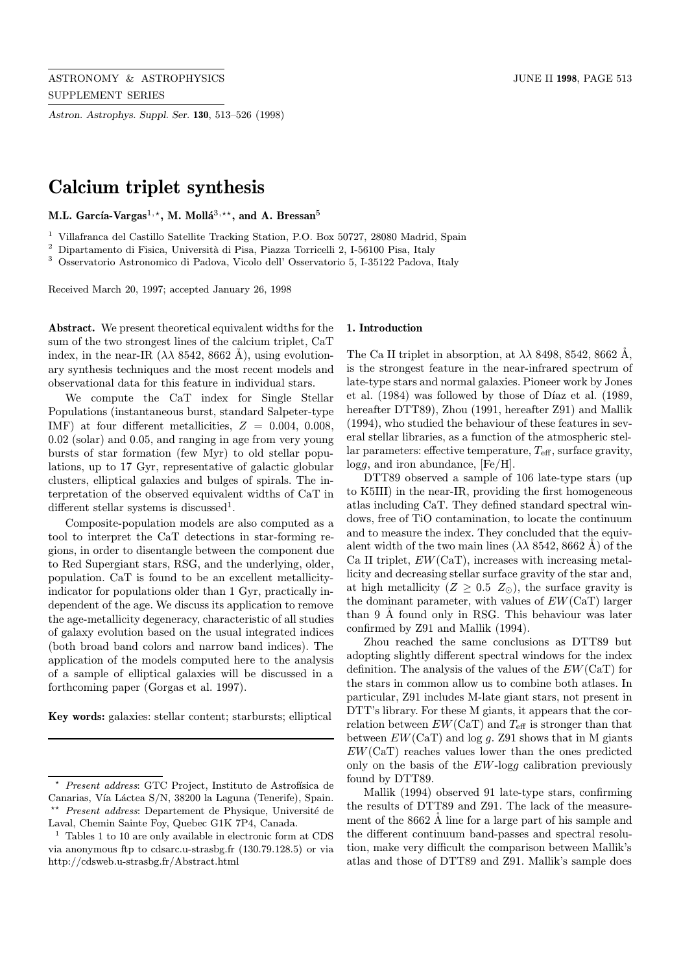Astron. Astrophys. Suppl. Ser. 130, 513–526 (1998)

# Calcium triplet synthesis

M.L. García-Vargas<sup>1,\*</sup>, M. Mollá<sup>3,\*\*</sup>, and A. Bressan<sup>5</sup>

<sup>1</sup> Villafranca del Castillo Satellite Tracking Station, P.O. Box 50727, 28080 Madrid, Spain

 $^2$  Dipartamento di Fisica, Università di Pisa, Piazza Torricelli 2, I-56100 Pisa, Italy

<sup>3</sup> Osservatorio Astronomico di Padova, Vicolo dell' Osservatorio 5, I-35122 Padova, Italy

Received March 20, 1997; accepted January 26, 1998

Abstract. We present theoretical equivalent widths for the sum of the two strongest lines of the calcium triplet, CaT index, in the near-IR  $(\lambda \lambda 8542, 8662 \text{ A})$ , using evolutionary synthesis techniques and the most recent models and observational data for this feature in individual stars.

We compute the CaT index for Single Stellar Populations (instantaneous burst, standard Salpeter-type IMF) at four different metallicities,  $Z = 0.004, 0.008$ , 0.02 (solar) and 0.05, and ranging in age from very young bursts of star formation (few Myr) to old stellar populations, up to 17 Gyr, representative of galactic globular clusters, elliptical galaxies and bulges of spirals. The interpretation of the observed equivalent widths of CaT in different stellar systems is discussed<sup>1</sup>.

Composite-population models are also computed as a tool to interpret the CaT detections in star-forming regions, in order to disentangle between the component due to Red Supergiant stars, RSG, and the underlying, older, population. CaT is found to be an excellent metallicityindicator for populations older than 1 Gyr, practically independent of the age. We discuss its application to remove the age-metallicity degeneracy, characteristic of all studies of galaxy evolution based on the usual integrated indices (both broad band colors and narrow band indices). The application of the models computed here to the analysis of a sample of elliptical galaxies will be discussed in a forthcoming paper (Gorgas et al. 1997).

Key words: galaxies: stellar content; starbursts; elliptical

#### 1. Introduction

The Ca II triplet in absorption, at  $\lambda\lambda$  8498, 8542, 8662 Å, is the strongest feature in the near-infrared spectrum of late-type stars and normal galaxies. Pioneer work by Jones et al.  $(1984)$  was followed by those of Díaz et al.  $(1989, 1989)$ hereafter DTT89), Zhou (1991, hereafter Z91) and Mallik (1994), who studied the behaviour of these features in several stellar libraries, as a function of the atmospheric stellar parameters: effective temperature,  $T_{\text{eff}}$ , surface gravity,  $\log g$ , and iron abundance, [Fe/H].

DTT89 observed a sample of 106 late-type stars (up to K5III) in the near-IR, providing the first homogeneous atlas including CaT. They defined standard spectral windows, free of TiO contamination, to locate the continuum and to measure the index. They concluded that the equivalent width of the two main lines  $(\lambda \lambda 8542, 8662 \text{ A})$  of the Ca II triplet,  $EW(CaT)$ , increases with increasing metallicity and decreasing stellar surface gravity of the star and, at high metallicity ( $Z \geq 0.5$   $Z_{\odot}$ ), the surface gravity is the dominant parameter, with values of EW(CaT) larger than  $9 \text{ Å}$  found only in RSG. This behaviour was later confirmed by Z91 and Mallik (1994).

Zhou reached the same conclusions as DTT89 but adopting slightly different spectral windows for the index definition. The analysis of the values of the  $EW(CaT)$  for the stars in common allow us to combine both atlases. In particular, Z91 includes M-late giant stars, not present in DTT's library. For these M giants, it appears that the correlation between  $EW(CaT)$  and  $T_{\text{eff}}$  is stronger than that between  $EW(CaT)$  and log g. Z91 shows that in M giants  $EW(CaT)$  reaches values lower than the ones predicted only on the basis of the EW-logg calibration previously found by DTT89.

Mallik (1994) observed 91 late-type stars, confirming the results of DTT89 and Z91. The lack of the measurement of the 8662 Å line for a large part of his sample and the different continuum band-passes and spectral resolution, make very difficult the comparison between Mallik's atlas and those of DTT89 and Z91. Mallik's sample does

Present address: GTC Project, Instituto de Astrofísica de Canarias, Vía Láctea S/N, 38200 la Laguna (Tenerife), Spain. \*\* *Present address*: Departement de Physique, Université de Laval, Chemin Sainte Foy, Quebec G1K 7P4, Canada.

<sup>1</sup> Tables 1 to 10 are only available in electronic form at CDS via anonymous ftp to cdsarc.u-strasbg.fr (130.79.128.5) or via http://cdsweb.u-strasbg.fr/Abstract.html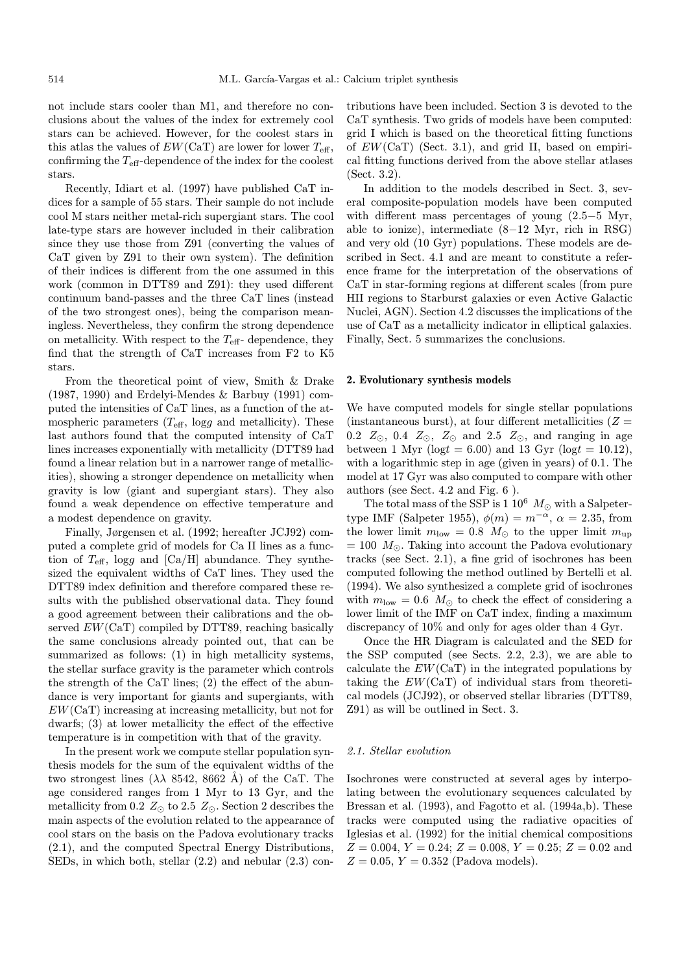not include stars cooler than M1, and therefore no conclusions about the values of the index for extremely cool stars can be achieved. However, for the coolest stars in this atlas the values of  $EW(CaT)$  are lower for lower  $T_{\text{eff}}$ , confirming the  $T_{\text{eff}}$ -dependence of the index for the coolest stars.

Recently, Idiart et al. (1997) have published CaT indices for a sample of 55 stars. Their sample do not include cool M stars neither metal-rich supergiant stars. The cool late-type stars are however included in their calibration since they use those from Z91 (converting the values of CaT given by Z91 to their own system). The definition of their indices is different from the one assumed in this work (common in DTT89 and Z91): they used different continuum band-passes and the three CaT lines (instead of the two strongest ones), being the comparison meaningless. Nevertheless, they confirm the strong dependence on metallicity. With respect to the  $T_{\text{eff}}$ - dependence, they find that the strength of CaT increases from F2 to K5 stars.

From the theoretical point of view, Smith & Drake (1987, 1990) and Erdelyi-Mendes & Barbuy (1991) computed the intensities of CaT lines, as a function of the atmospheric parameters  $(T_{\text{eff}}$ , logg and metallicity). These last authors found that the computed intensity of CaT lines increases exponentially with metallicity (DTT89 had found a linear relation but in a narrower range of metallicities), showing a stronger dependence on metallicity when gravity is low (giant and supergiant stars). They also found a weak dependence on effective temperature and a modest dependence on gravity.

Finally, Jørgensen et al. (1992; hereafter JCJ92) computed a complete grid of models for Ca II lines as a function of  $T_{\text{eff}}$ , logg and [Ca/H] abundance. They synthesized the equivalent widths of CaT lines. They used the DTT89 index definition and therefore compared these results with the published observational data. They found a good agreement between their calibrations and the observed  $EW(CaT)$  compiled by DTT89, reaching basically the same conclusions already pointed out, that can be summarized as follows: (1) in high metallicity systems, the stellar surface gravity is the parameter which controls the strength of the CaT lines; (2) the effect of the abundance is very important for giants and supergiants, with EW(CaT) increasing at increasing metallicity, but not for dwarfs; (3) at lower metallicity the effect of the effective temperature is in competition with that of the gravity.

In the present work we compute stellar population synthesis models for the sum of the equivalent widths of the two strongest lines  $(\lambda \lambda 8542, 8662 \text{ Å})$  of the CaT. The age considered ranges from 1 Myr to 13 Gyr, and the metallicity from 0.2  $Z_{\odot}$  to 2.5  $Z_{\odot}$ . Section 2 describes the main aspects of the evolution related to the appearance of cool stars on the basis on the Padova evolutionary tracks (2.1), and the computed Spectral Energy Distributions, SEDs, in which both, stellar (2.2) and nebular (2.3) contributions have been included. Section 3 is devoted to the CaT synthesis. Two grids of models have been computed: grid I which is based on the theoretical fitting functions of  $EW(CaT)$  (Sect. 3.1), and grid II, based on empirical fitting functions derived from the above stellar atlases (Sect. 3.2).

In addition to the models described in Sect. 3, several composite-population models have been computed with different mass percentages of young (2.5−5 Myr, able to ionize), intermediate (8−12 Myr, rich in RSG) and very old (10 Gyr) populations. These models are described in Sect. 4.1 and are meant to constitute a reference frame for the interpretation of the observations of CaT in star-forming regions at different scales (from pure HII regions to Starburst galaxies or even Active Galactic Nuclei, AGN). Section 4.2 discusses the implications of the use of CaT as a metallicity indicator in elliptical galaxies. Finally, Sect. 5 summarizes the conclusions.

### 2. Evolutionary synthesis models

We have computed models for single stellar populations (instantaneous burst), at four different metallicities  $(Z =$ 0.2  $Z_{\odot}$ , 0.4  $Z_{\odot}$ ,  $Z_{\odot}$  and 2.5  $Z_{\odot}$ , and ranging in age between 1 Myr ( $log t = 6.00$ ) and 13 Gyr ( $log t = 10.12$ ), with a logarithmic step in age (given in years) of 0.1. The model at 17 Gyr was also computed to compare with other authors (see Sect. 4.2 and Fig. 6 ).

The total mass of the SSP is 1  $10^6$   $M_{\odot}$  with a Salpetertype IMF (Salpeter 1955),  $\phi(m) = m^{-\alpha}, \alpha = 2.35$ , from the lower limit  $m_{\text{low}} = 0.8$   $M_{\odot}$  to the upper limit  $m_{\text{up}}$  $= 100 M_{\odot}$ . Taking into account the Padova evolutionary tracks (see Sect. 2.1), a fine grid of isochrones has been computed following the method outlined by Bertelli et al. (1994). We also synthesized a complete grid of isochrones with  $m_{\text{low}} = 0.6$   $M_{\odot}$  to check the effect of considering a lower limit of the IMF on CaT index, finding a maximum discrepancy of 10% and only for ages older than 4 Gyr.

Once the HR Diagram is calculated and the SED for the SSP computed (see Sects. 2.2, 2.3), we are able to calculate the  $EW(CaT)$  in the integrated populations by taking the  $EW(CaT)$  of individual stars from theoretical models (JCJ92), or observed stellar libraries (DTT89, Z91) as will be outlined in Sect. 3.

#### 2.1. Stellar evolution

Isochrones were constructed at several ages by interpolating between the evolutionary sequences calculated by Bressan et al. (1993), and Fagotto et al. (1994a,b). These tracks were computed using the radiative opacities of Iglesias et al. (1992) for the initial chemical compositions  $Z = 0.004$ ,  $Y = 0.24$ ;  $Z = 0.008$ ,  $Y = 0.25$ ;  $Z = 0.02$  and  $Z = 0.05, Y = 0.352$  (Padova models).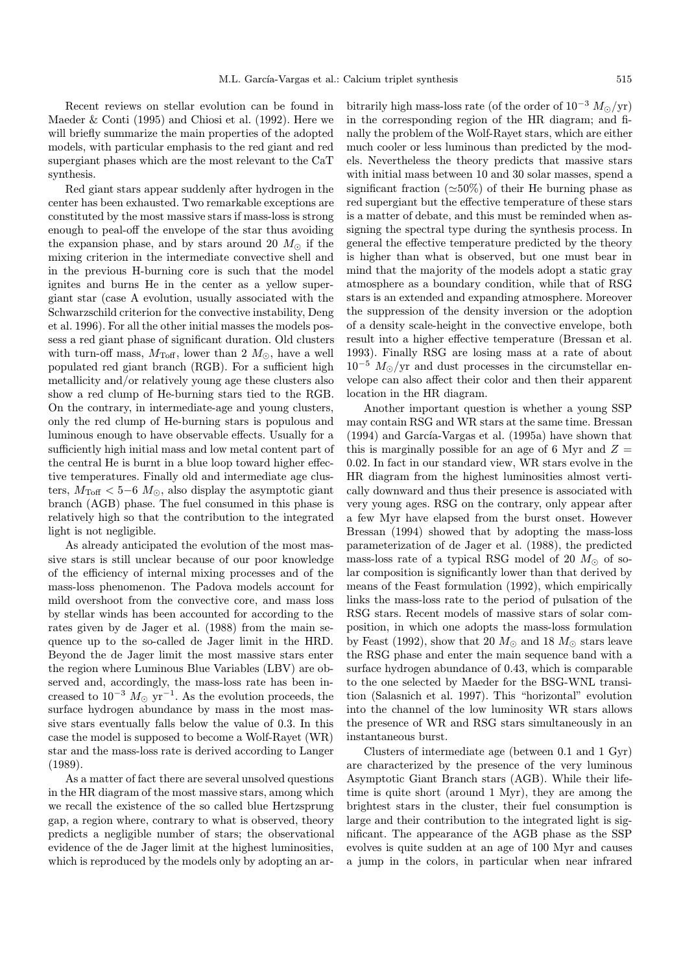Recent reviews on stellar evolution can be found in Maeder & Conti (1995) and Chiosi et al. (1992). Here we will briefly summarize the main properties of the adopted models, with particular emphasis to the red giant and red supergiant phases which are the most relevant to the CaT synthesis.

Red giant stars appear suddenly after hydrogen in the center has been exhausted. Two remarkable exceptions are constituted by the most massive stars if mass-loss is strong enough to peal-off the envelope of the star thus avoiding the expansion phase, and by stars around 20  $M_{\odot}$  if the mixing criterion in the intermediate convective shell and in the previous H-burning core is such that the model ignites and burns He in the center as a yellow supergiant star (case A evolution, usually associated with the Schwarzschild criterion for the convective instability, Deng et al. 1996). For all the other initial masses the models possess a red giant phase of significant duration. Old clusters with turn-off mass,  $M_{\text{Toff}}$ , lower than 2  $M_{\odot}$ , have a well populated red giant branch (RGB). For a sufficient high metallicity and/or relatively young age these clusters also show a red clump of He-burning stars tied to the RGB. On the contrary, in intermediate-age and young clusters, only the red clump of He-burning stars is populous and luminous enough to have observable effects. Usually for a sufficiently high initial mass and low metal content part of the central He is burnt in a blue loop toward higher effective temperatures. Finally old and intermediate age clusters,  $M_{\text{Toff}} < 5-6$   $M_{\odot}$ , also display the asymptotic giant branch (AGB) phase. The fuel consumed in this phase is relatively high so that the contribution to the integrated light is not negligible.

As already anticipated the evolution of the most massive stars is still unclear because of our poor knowledge of the efficiency of internal mixing processes and of the mass-loss phenomenon. The Padova models account for mild overshoot from the convective core, and mass loss by stellar winds has been accounted for according to the rates given by de Jager et al. (1988) from the main sequence up to the so-called de Jager limit in the HRD. Beyond the de Jager limit the most massive stars enter the region where Luminous Blue Variables (LBV) are observed and, accordingly, the mass-loss rate has been increased to  $10^{-3}$   $M_{\odot}$  yr<sup>-1</sup>. As the evolution proceeds, the surface hydrogen abundance by mass in the most massive stars eventually falls below the value of 0.3. In this case the model is supposed to become a Wolf-Rayet (WR) star and the mass-loss rate is derived according to Langer (1989).

As a matter of fact there are several unsolved questions in the HR diagram of the most massive stars, among which we recall the existence of the so called blue Hertzsprung gap, a region where, contrary to what is observed, theory predicts a negligible number of stars; the observational evidence of the de Jager limit at the highest luminosities, which is reproduced by the models only by adopting an ar-

bitrarily high mass-loss rate (of the order of  $10^{-3} M_{\odot}/yr$ ) in the corresponding region of the HR diagram; and finally the problem of the Wolf-Rayet stars, which are either much cooler or less luminous than predicted by the models. Nevertheless the theory predicts that massive stars with initial mass between 10 and 30 solar masses, spend a significant fraction ( $\approx 50\%$ ) of their He burning phase as red supergiant but the effective temperature of these stars is a matter of debate, and this must be reminded when assigning the spectral type during the synthesis process. In general the effective temperature predicted by the theory is higher than what is observed, but one must bear in mind that the majority of the models adopt a static gray atmosphere as a boundary condition, while that of RSG stars is an extended and expanding atmosphere. Moreover the suppression of the density inversion or the adoption of a density scale-height in the convective envelope, both result into a higher effective temperature (Bressan et al. 1993). Finally RSG are losing mass at a rate of about  $10^{-5}$   $M_{\odot}/\text{yr}$  and dust processes in the circumstellar envelope can also affect their color and then their apparent location in the HR diagram.

Another important question is whether a young SSP may contain RSG and WR stars at the same time. Bressan  $(1994)$  and García-Vargas et al.  $(1995a)$  have shown that this is marginally possible for an age of 6 Myr and  $Z =$ 0.02. In fact in our standard view, WR stars evolve in the HR diagram from the highest luminosities almost vertically downward and thus their presence is associated with very young ages. RSG on the contrary, only appear after a few Myr have elapsed from the burst onset. However Bressan (1994) showed that by adopting the mass-loss parameterization of de Jager et al. (1988), the predicted mass-loss rate of a typical RSG model of 20  $M_{\odot}$  of solar composition is significantly lower than that derived by means of the Feast formulation (1992), which empirically links the mass-loss rate to the period of pulsation of the RSG stars. Recent models of massive stars of solar composition, in which one adopts the mass-loss formulation by Feast (1992), show that 20  $M_{\odot}$  and 18  $M_{\odot}$  stars leave the RSG phase and enter the main sequence band with a surface hydrogen abundance of 0.43, which is comparable to the one selected by Maeder for the BSG-WNL transition (Salasnich et al. 1997). This "horizontal" evolution into the channel of the low luminosity WR stars allows the presence of WR and RSG stars simultaneously in an instantaneous burst.

Clusters of intermediate age (between 0.1 and 1 Gyr) are characterized by the presence of the very luminous Asymptotic Giant Branch stars (AGB). While their lifetime is quite short (around 1 Myr), they are among the brightest stars in the cluster, their fuel consumption is large and their contribution to the integrated light is significant. The appearance of the AGB phase as the SSP evolves is quite sudden at an age of 100 Myr and causes a jump in the colors, in particular when near infrared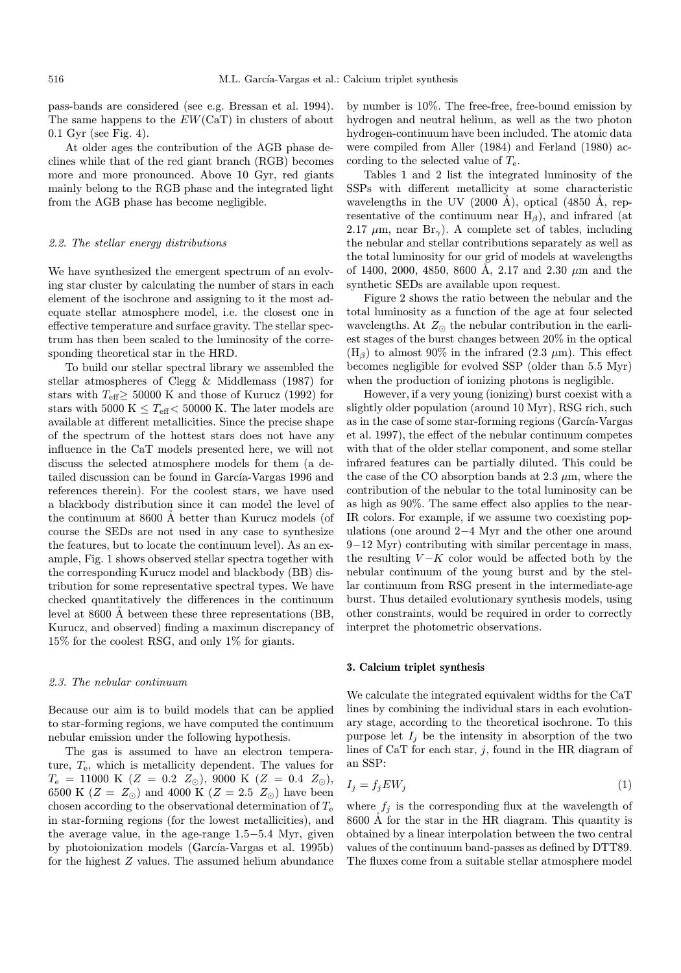pass-bands are considered (see e.g. Bressan et al. 1994). The same happens to the  $EW(CaT)$  in clusters of about 0.1 Gyr (see Fig. 4).

At older ages the contribution of the AGB phase declines while that of the red giant branch (RGB) becomes more and more pronounced. Above 10 Gyr, red giants mainly belong to the RGB phase and the integrated light from the AGB phase has become negligible.

#### 2.2. The stellar energy distributions

We have synthesized the emergent spectrum of an evolving star cluster by calculating the number of stars in each element of the isochrone and assigning to it the most adequate stellar atmosphere model, i.e. the closest one in effective temperature and surface gravity. The stellar spectrum has then been scaled to the luminosity of the corresponding theoretical star in the HRD.

To build our stellar spectral library we assembled the stellar atmospheres of Clegg & Middlemass (1987) for stars with  $T_{\text{eff}}$  > 50000 K and those of Kurucz (1992) for stars with 5000 K  $\leq T_{\text{eff}}$   $\leq$  50000 K. The later models are available at different metallicities. Since the precise shape of the spectrum of the hottest stars does not have any influence in the CaT models presented here, we will not discuss the selected atmosphere models for them (a detailed discussion can be found in García-Vargas 1996 and references therein). For the coolest stars, we have used a blackbody distribution since it can model the level of the continuum at 8600 Å better than Kurucz models (of course the SEDs are not used in any case to synthesize the features, but to locate the continuum level). As an example, Fig. 1 shows observed stellar spectra together with the corresponding Kurucz model and blackbody (BB) distribution for some representative spectral types. We have checked quantitatively the differences in the continuum level at  $8600 \text{ Å}$  between these three representations (BB, Kurucz, and observed) finding a maximun discrepancy of 15% for the coolest RSG, and only 1% for giants.

#### 2.3. The nebular continuum

Because our aim is to build models that can be applied to star-forming regions, we have computed the continuum nebular emission under the following hypothesis.

The gas is assumed to have an electron temperature,  $T_e$ , which is metallicity dependent. The values for  $T_{\rm e}$  = 11000 K (Z = 0.2  $Z_{\odot}$ ), 9000 K (Z = 0.4  $Z_{\odot}$ ), 6500 K  $(Z = Z_{\odot})$  and 4000 K  $(Z = 2.5 \ Z_{\odot})$  have been chosen according to the observational determination of  $T_e$ in star-forming regions (for the lowest metallicities), and the average value, in the age-range 1.5−5.4 Myr, given by photoionization models (García-Vargas et al. 1995b) for the highest Z values. The assumed helium abundance by number is 10%. The free-free, free-bound emission by hydrogen and neutral helium, as well as the two photon hydrogen-continuum have been included. The atomic data were compiled from Aller (1984) and Ferland (1980) according to the selected value of  $T_{e}$ .

Tables 1 and 2 list the integrated luminosity of the SSPs with different metallicity at some characteristic wavelengths in the UV (2000 Å), optical (4850 Å, representative of the continuum near  $H_\beta$ ), and infrared (at 2.17  $\mu$ m, near Br<sub>γ</sub>). A complete set of tables, including the nebular and stellar contributions separately as well as the total luminosity for our grid of models at wavelengths of 1400, 2000, 4850, 8600 Å, 2.17 and 2.30  $\mu$ m and the synthetic SEDs are available upon request.

Figure 2 shows the ratio between the nebular and the total luminosity as a function of the age at four selected wavelengths. At  $Z_{\odot}$  the nebular contribution in the earliest stages of the burst changes between 20% in the optical  $(H_\beta)$  to almost 90% in the infrared (2.3  $\mu$ m). This effect becomes negligible for evolved SSP (older than 5.5 Myr) when the production of ionizing photons is negligible.

However, if a very young (ionizing) burst coexist with a slightly older population (around 10 Myr), RSG rich, such as in the case of some star-forming regions (García-Vargas et al. 1997), the effect of the nebular continuum competes with that of the older stellar component, and some stellar infrared features can be partially diluted. This could be the case of the CO absorption bands at  $2.3 \mu m$ , where the contribution of the nebular to the total luminosity can be as high as 90%. The same effect also applies to the near-IR colors. For example, if we assume two coexisting populations (one around 2−4 Myr and the other one around 9−12 Myr) contributing with similar percentage in mass, the resulting  $V - K$  color would be affected both by the nebular continuum of the young burst and by the stellar continuum from RSG present in the intermediate-age burst. Thus detailed evolutionary synthesis models, using other constraints, would be required in order to correctly interpret the photometric observations.

#### 3. Calcium triplet synthesis

We calculate the integrated equivalent widths for the CaT lines by combining the individual stars in each evolutionary stage, according to the theoretical isochrone. To this purpose let  $I_i$  be the intensity in absorption of the two lines of CaT for each star,  $j$ , found in the HR diagram of an SSP:

$$
I_j = f_j EW_j \tag{1}
$$

where  $f_j$  is the corresponding flux at the wavelength of 8600 Å for the star in the HR diagram. This quantity is obtained by a linear interpolation between the two central values of the continuum band-passes as defined by DTT89. The fluxes come from a suitable stellar atmosphere model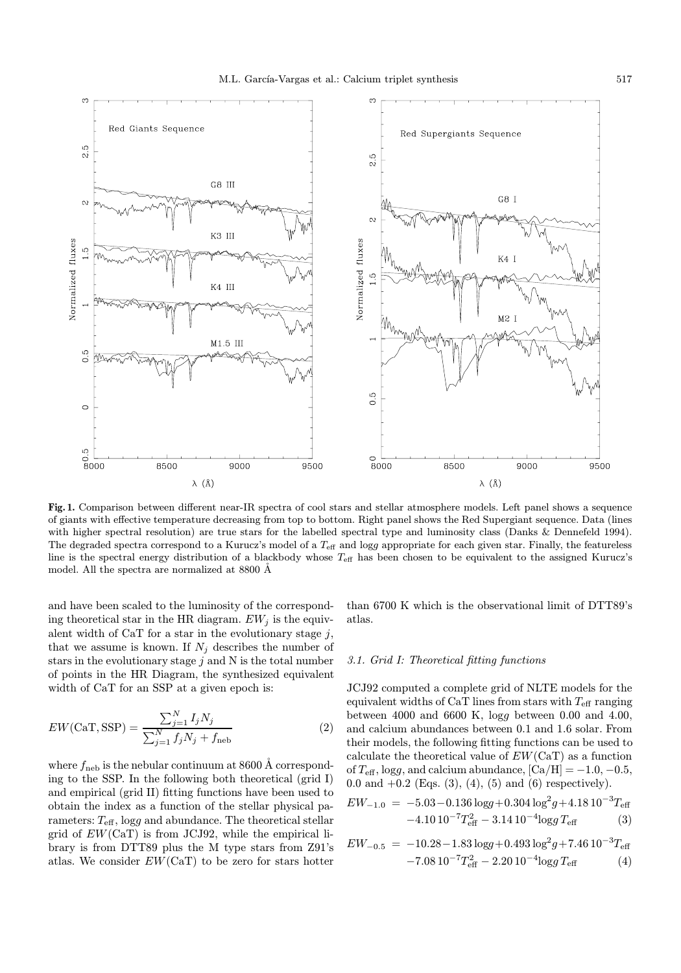

Fig. 1. Comparison between different near-IR spectra of cool stars and stellar atmosphere models. Left panel shows a sequence of giants with effective temperature decreasing from top to bottom. Right panel shows the Red Supergiant sequence. Data (lines with higher spectral resolution) are true stars for the labelled spectral type and luminosity class (Danks & Dennefeld 1994). The degraded spectra correspond to a Kurucz's model of a  $T_{\text{eff}}$  and logg appropriate for each given star. Finally, the featureless line is the spectral energy distribution of a blackbody whose  $T_{\text{eff}}$  has been chosen to be equivalent to the assigned Kurucz's model. All the spectra are normalized at 8800 Å

and have been scaled to the luminosity of the corresponding theoretical star in the HR diagram.  $EW_j$  is the equivalent width of CaT for a star in the evolutionary stage  $j$ , that we assume is known. If  $N_i$  describes the number of stars in the evolutionary stage  $j$  and N is the total number of points in the HR Diagram, the synthesized equivalent width of CaT for an SSP at a given epoch is:

$$
EW(CaT, SSP) = \frac{\sum_{j=1}^{N} I_j N_j}{\sum_{j=1}^{N} f_j N_j + f_{\text{neb}}}
$$
 (2)

where  $f_{\text{neb}}$  is the nebular continuum at 8600 Å corresponding to the SSP. In the following both theoretical (grid I) and empirical (grid II) fitting functions have been used to obtain the index as a function of the stellar physical parameters:  $T_{\text{eff}}$ , logg and abundance. The theoretical stellar grid of  $EW(CaT)$  is from JCJ92, while the empirical library is from DTT89 plus the M type stars from Z91's atlas. We consider  $EW(CaT)$  to be zero for stars hotter than 6700 K which is the observational limit of DTT89's atlas.

## 3.1. Grid I: Theoretical fitting functions

JCJ92 computed a complete grid of NLTE models for the equivalent widths of CaT lines from stars with  $T_{\text{eff}}$  ranging between 4000 and 6600 K, logg between 0.00 and 4.00, and calcium abundances between 0.1 and 1.6 solar. From their models, the following fitting functions can be used to calculate the theoretical value of  $EW(CaT)$  as a function of  $T_{\text{eff}}$ , logg, and calcium abundance,  $[\text{Ca/H}] = -1.0, -0.5,$ 0.0 and  $+0.2$  (Eqs. (3), (4), (5) and (6) respectively).

$$
EW_{-1.0} = -5.03 - 0.136 \log(4) + 0.304 \log^2(4) + 4.1810^{-3} T_{\text{eff}}
$$
  
-4.1010<sup>-7</sup>T<sub>eff</sub><sup>2</sup> - 3.1410<sup>-4</sup>log<sub>g</sub> T<sub>eff</sub> (3)

$$
EW_{-0.5} = -10.28 - 1.83 \log 4 - 0.493 \log^2 4 + 7.46 \log 10^{-3} T_{\text{eff}}
$$
  
-7.08 10<sup>-7</sup>T<sub>eff</sub><sup>2</sup> - 2.20 10<sup>-4</sup> log g T<sub>eff</sub> (4)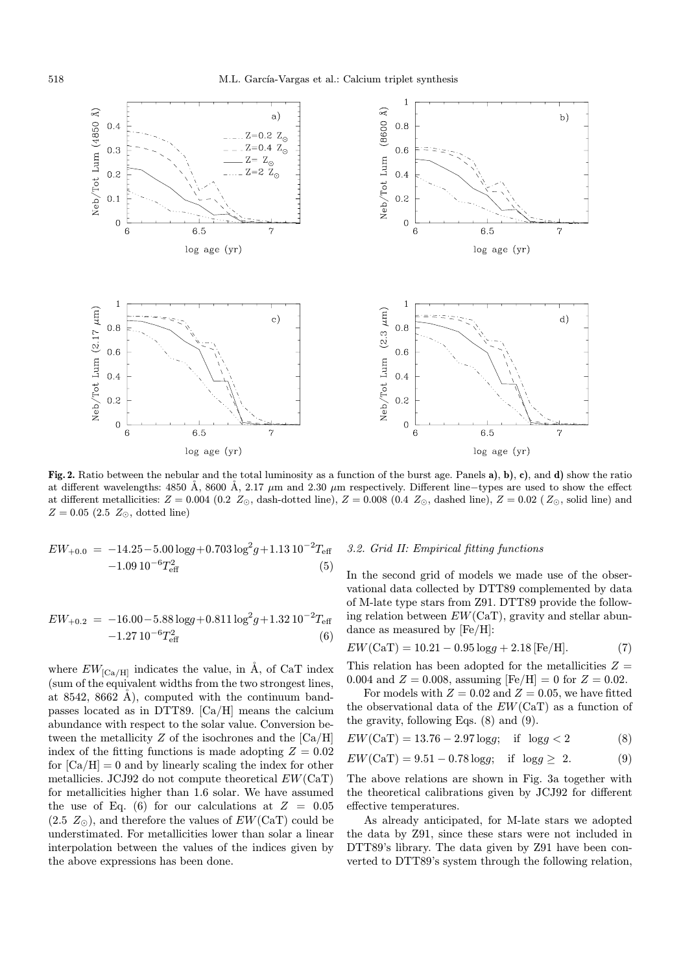

Fig. 2. Ratio between the nebular and the total luminosity as a function of the burst age. Panels a), b), c), and d) show the ratio at different wavelengths: 4850 Å, 8600 Å, 2.17 µm and 2.30 µm respectively. Different line−types are used to show the effect at different metallicities:  $Z = 0.004$  (0.2  $Z_{\odot}$ , dash-dotted line),  $Z = 0.008$  (0.4  $Z_{\odot}$ , dashed line),  $Z = 0.02$  ( $Z_{\odot}$ , solid line) and  $Z = 0.05$  (2.5  $Z_{\odot}$ , dotted line)

$$
EW_{+0.0} = -14.25 - 5.00 \log g + 0.703 \log^2 g + 1.13 10^{-2} T_{\text{eff}}
$$
  
-1.09 10<sup>-6</sup> T<sub>eff</sub><sup>2</sup> (5)

$$
EW_{+0.2} = -16.00 - 5.88 \log g + 0.811 \log^2 g + 1.32 10^{-2} T_{\text{eff}}
$$
  
-1.27 10<sup>-6</sup> T<sub>eff</sub><sup>2</sup> (6)

where  $EW_{\rm [Ca/H]}$  indicates the value, in Å, of CaT index (sum of the equivalent widths from the two strongest lines, at 8542, 8662 Å), computed with the continuum bandpasses located as in DTT89. [Ca/H] means the calcium abundance with respect to the solar value. Conversion between the metallicity  $Z$  of the isochrones and the  $[Ca/H]$ index of the fitting functions is made adopting  $Z = 0.02$ for  $[Ca/H] = 0$  and by linearly scaling the index for other metallicies. JCJ92 do not compute theoretical  $EW(CaT)$ for metallicities higher than 1.6 solar. We have assumed the use of Eq. (6) for our calculations at  $Z = 0.05$  $(2.5 Z_{\odot})$ , and therefore the values of  $EW(CaT)$  could be understimated. For metallicities lower than solar a linear interpolation between the values of the indices given by the above expressions has been done.

### 3.2. Grid II: Empirical fitting functions

In the second grid of models we made use of the observational data collected by DTT89 complemented by data of M-late type stars from Z91. DTT89 provide the following relation between  $EW(CaT)$ , gravity and stellar abundance as measured by [Fe/H]:

$$
EW(CaT) = 10.21 - 0.95 \log g + 2.18 \,\text{[Fe/H]}.
$$
 (7)

This relation has been adopted for the metallicities  $Z =$ 0.004 and  $Z = 0.008$ , assuming  $[Fe/H] = 0$  for  $Z = 0.02$ .

For models with  $Z = 0.02$  and  $Z = 0.05$ , we have fitted the observational data of the  $EW(CaT)$  as a function of the gravity, following Eqs. (8) and (9).

$$
EW(CaT) = 13.76 - 2.97 \log g; \text{ if } \log g < 2 \tag{8}
$$

$$
EW(CaT) = 9.51 - 0.78 \log g; \text{ if } \log g \ge 2. \tag{9}
$$

The above relations are shown in Fig. 3a together with the theoretical calibrations given by JCJ92 for different effective temperatures.

As already anticipated, for M-late stars we adopted the data by Z91, since these stars were not included in DTT89's library. The data given by Z91 have been converted to DTT89's system through the following relation,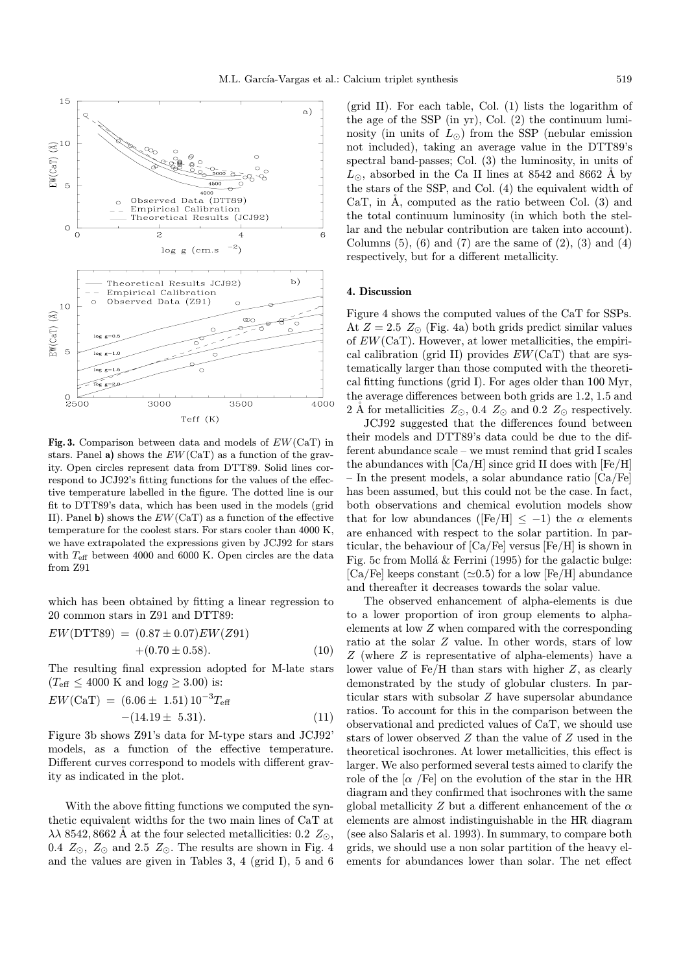

Fig. 3. Comparison between data and models of  $EW(CaT)$  in stars. Panel a) shows the  $EW(CaT)$  as a function of the gravity. Open circles represent data from DTT89. Solid lines correspond to JCJ92's fitting functions for the values of the effective temperature labelled in the figure. The dotted line is our fit to DTT89's data, which has been used in the models (grid II). Panel b) shows the  $EW(CaT)$  as a function of the effective temperature for the coolest stars. For stars cooler than 4000 K, we have extrapolated the expressions given by JCJ92 for stars with  $T_{\text{eff}}$  between 4000 and 6000 K. Open circles are the data from Z91

which has been obtained by fitting a linear regression to 20 common stars in Z91 and DTT89:

$$
EW(DTT89) = (0.87 \pm 0.07) EW(Z91) + (0.70 \pm 0.58).
$$
 (10)

The resulting final expression adopted for M-late stars  $(T_{\text{eff}} \leq 4000 \text{ K} \text{ and } \log g \geq 3.00) \text{ is:}$ 

$$
EW(CaT) = (6.06 \pm 1.51) 10^{-3} T_{\text{eff}}
$$
  
-(14.19 \pm 5.31). (11)

Figure 3b shows Z91's data for M-type stars and JCJ92' models, as a function of the effective temperature. Different curves correspond to models with different gravity as indicated in the plot.

With the above fitting functions we computed the synthetic equivalent widths for the two main lines of CaT at  $\lambda\lambda$  8542, 8662 Å at the four selected metallicities: 0.2  $Z_{\odot}$ , 0.4  $Z_{\odot}$ ,  $Z_{\odot}$  and 2.5  $Z_{\odot}$ . The results are shown in Fig. 4 and the values are given in Tables 3, 4 (grid I), 5 and 6

(grid II). For each table, Col. (1) lists the logarithm of the age of the SSP (in yr), Col. (2) the continuum luminosity (in units of  $L_{\odot}$ ) from the SSP (nebular emission not included), taking an average value in the DTT89's spectral band-passes; Col. (3) the luminosity, in units of  $L_{\odot}$ , absorbed in the Ca II lines at 8542 and 8662 Å by the stars of the SSP, and Col. (4) the equivalent width of CaT, in  $\dot{A}$ , computed as the ratio between Col. (3) and the total continuum luminosity (in which both the stellar and the nebular contribution are taken into account). Columns  $(5)$ ,  $(6)$  and  $(7)$  are the same of  $(2)$ ,  $(3)$  and  $(4)$ respectively, but for a different metallicity.

### 4. Discussion

Figure 4 shows the computed values of the CaT for SSPs. At  $Z = 2.5$   $Z_{\odot}$  (Fig. 4a) both grids predict similar values of  $EW(CaT)$ . However, at lower metallicities, the empirical calibration (grid II) provides  $EW(CaT)$  that are systematically larger than those computed with the theoretical fitting functions (grid I). For ages older than 100 Myr, the average differences between both grids are 1.2, 1.5 and 2 Å for metallicities  $Z_{\odot}$ , 0.4  $Z_{\odot}$  and 0.2  $Z_{\odot}$  respectively.

JCJ92 suggested that the differences found between their models and DTT89's data could be due to the different abundance scale – we must remind that grid I scales the abundances with  $\left[Ca/H\right]$  since grid II does with  $\left[Fe/H\right]$ – In the present models, a solar abundance ratio [Ca/Fe] has been assumed, but this could not be the case. In fact, both observations and chemical evolution models show that for low abundances ([Fe/H]  $\leq -1$ ) the  $\alpha$  elements are enhanced with respect to the solar partition. In particular, the behaviour of [Ca/Fe] versus [Fe/H] is shown in Fig. 5c from Mollá  $&$  Ferrini (1995) for the galactic bulge: [Ca/Fe] keeps constant ( $\simeq$ 0.5) for a low [Fe/H] abundance and thereafter it decreases towards the solar value.

The observed enhancement of alpha-elements is due to a lower proportion of iron group elements to alphaelements at low Z when compared with the corresponding ratio at the solar Z value. In other words, stars of low Z (where Z is representative of alpha-elements) have a lower value of Fe/H than stars with higher Z, as clearly demonstrated by the study of globular clusters. In particular stars with subsolar Z have supersolar abundance ratios. To account for this in the comparison between the observational and predicted values of CaT, we should use stars of lower observed Z than the value of Z used in the theoretical isochrones. At lower metallicities, this effect is larger. We also performed several tests aimed to clarify the role of the  $\alpha$  /Fe] on the evolution of the star in the HR diagram and they confirmed that isochrones with the same global metallicity Z but a different enhancement of the  $\alpha$ elements are almost indistinguishable in the HR diagram (see also Salaris et al. 1993). In summary, to compare both grids, we should use a non solar partition of the heavy elements for abundances lower than solar. The net effect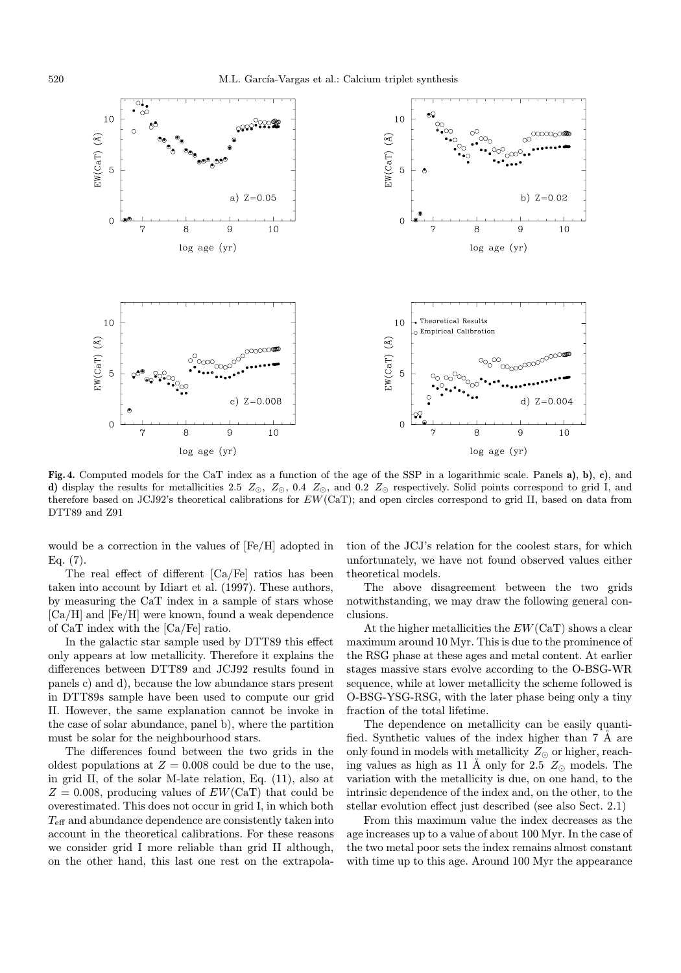

Fig. 4. Computed models for the CaT index as a function of the age of the SSP in a logarithmic scale. Panels a), b), c), and d) display the results for metallicities 2.5  $Z_{\odot}$ ,  $Z_{\odot}$ , 0.4  $Z_{\odot}$ , and 0.2  $Z_{\odot}$  respectively. Solid points correspond to grid I, and therefore based on JCJ92's theoretical calibrations for EW(CaT); and open circles correspond to grid II, based on data from DTT89 and Z91

would be a correction in the values of [Fe/H] adopted in Eq. (7).

The real effect of different [Ca/Fe] ratios has been taken into account by Idiart et al. (1997). These authors, by measuring the CaT index in a sample of stars whose  $[Ca/H]$  and  $[Fe/H]$  were known, found a weak dependence of CaT index with the [Ca/Fe] ratio.

In the galactic star sample used by DTT89 this effect only appears at low metallicity. Therefore it explains the differences between DTT89 and JCJ92 results found in panels c) and d), because the low abundance stars present in DTT89s sample have been used to compute our grid II. However, the same explanation cannot be invoke in the case of solar abundance, panel b), where the partition must be solar for the neighbourhood stars.

The differences found between the two grids in the oldest populations at  $Z = 0.008$  could be due to the use, in grid II, of the solar M-late relation, Eq. (11), also at  $Z = 0.008$ , producing values of  $EW(CaT)$  that could be overestimated. This does not occur in grid I, in which both Teff and abundance dependence are consistently taken into account in the theoretical calibrations. For these reasons we consider grid I more reliable than grid II although, on the other hand, this last one rest on the extrapolation of the JCJ's relation for the coolest stars, for which unfortunately, we have not found observed values either theoretical models.

The above disagreement between the two grids notwithstanding, we may draw the following general conclusions.

At the higher metallicities the  $EW(CaT)$  shows a clear maximum around 10 Myr. This is due to the prominence of the RSG phase at these ages and metal content. At earlier stages massive stars evolve according to the O-BSG-WR sequence, while at lower metallicity the scheme followed is O-BSG-YSG-RSG, with the later phase being only a tiny fraction of the total lifetime.

The dependence on metallicity can be easily quantified. Synthetic values of the index higher than 7 A are only found in models with metallicity  $Z_{\odot}$  or higher, reaching values as high as 11 Å only for 2.5  $Z_{\odot}$  models. The variation with the metallicity is due, on one hand, to the intrinsic dependence of the index and, on the other, to the stellar evolution effect just described (see also Sect. 2.1)

From this maximum value the index decreases as the age increases up to a value of about 100 Myr. In the case of the two metal poor sets the index remains almost constant with time up to this age. Around 100 Myr the appearance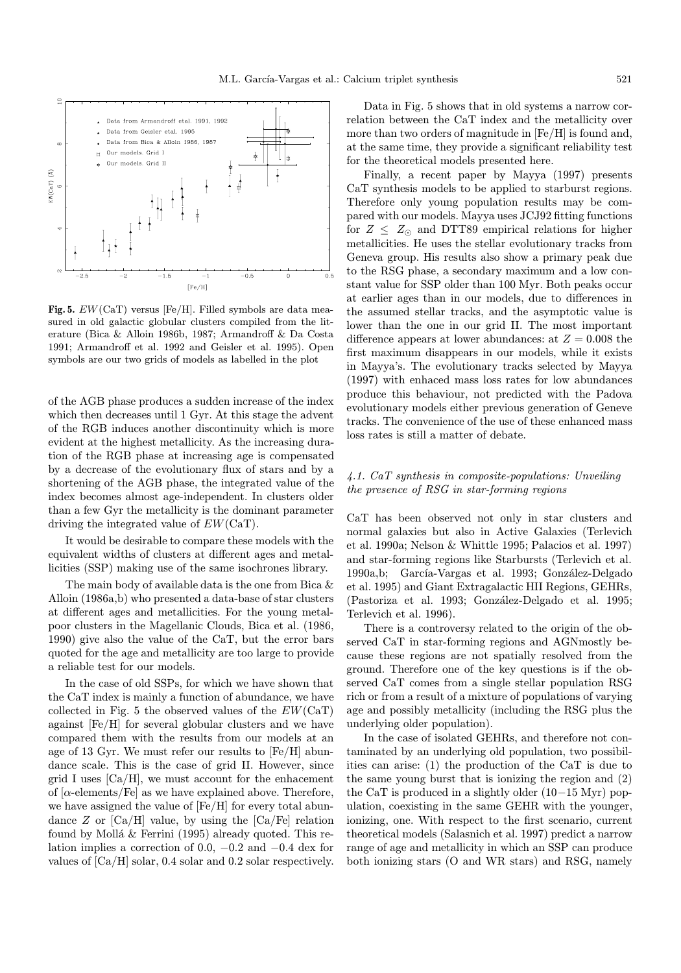

Fig. 5. EW(CaT) versus [Fe/H]. Filled symbols are data measured in old galactic globular clusters compiled from the literature (Bica & Alloin 1986b, 1987; Armandroff & Da Costa 1991; Armandroff et al. 1992 and Geisler et al. 1995). Open symbols are our two grids of models as labelled in the plot

of the AGB phase produces a sudden increase of the index which then decreases until 1 Gyr. At this stage the advent of the RGB induces another discontinuity which is more evident at the highest metallicity. As the increasing duration of the RGB phase at increasing age is compensated by a decrease of the evolutionary flux of stars and by a shortening of the AGB phase, the integrated value of the index becomes almost age-independent. In clusters older than a few Gyr the metallicity is the dominant parameter driving the integrated value of EW(CaT).

It would be desirable to compare these models with the equivalent widths of clusters at different ages and metallicities (SSP) making use of the same isochrones library.

The main body of available data is the one from Bica & Alloin (1986a,b) who presented a data-base of star clusters at different ages and metallicities. For the young metalpoor clusters in the Magellanic Clouds, Bica et al. (1986, 1990) give also the value of the CaT, but the error bars quoted for the age and metallicity are too large to provide a reliable test for our models.

In the case of old SSPs, for which we have shown that the CaT index is mainly a function of abundance, we have collected in Fig. 5 the observed values of the  $EW(CaT)$ against [Fe/H] for several globular clusters and we have compared them with the results from our models at an age of 13 Gyr. We must refer our results to [Fe/H] abundance scale. This is the case of grid II. However, since grid I uses  $\left[Ca/H\right]$ , we must account for the enhacement of  $[\alpha$ -elements/Fe] as we have explained above. Therefore, we have assigned the value of [Fe/H] for every total abundance  $Z$  or  $\left[Ca/H\right]$  value, by using the  $\left[Ca/Fe\right]$  relation found by Mollá  $&$  Ferrini (1995) already quoted. This relation implies a correction of 0.0,  $-0.2$  and  $-0.4$  dex for values of [Ca/H] solar, 0.4 solar and 0.2 solar respectively.

Data in Fig. 5 shows that in old systems a narrow correlation between the CaT index and the metallicity over more than two orders of magnitude in [Fe/H] is found and, at the same time, they provide a significant reliability test for the theoretical models presented here.

Finally, a recent paper by Mayya (1997) presents CaT synthesis models to be applied to starburst regions. Therefore only young population results may be compared with our models. Mayya uses JCJ92 fitting functions for  $Z \leq Z_{\odot}$  and DTT89 empirical relations for higher metallicities. He uses the stellar evolutionary tracks from Geneva group. His results also show a primary peak due to the RSG phase, a secondary maximum and a low constant value for SSP older than 100 Myr. Both peaks occur at earlier ages than in our models, due to differences in the assumed stellar tracks, and the asymptotic value is lower than the one in our grid II. The most important difference appears at lower abundances: at  $Z = 0.008$  the first maximum disappears in our models, while it exists in Mayya's. The evolutionary tracks selected by Mayya (1997) with enhaced mass loss rates for low abundances produce this behaviour, not predicted with the Padova evolutionary models either previous generation of Geneve tracks. The convenience of the use of these enhanced mass loss rates is still a matter of debate.

# 4.1. CaT synthesis in composite-populations: Unveiling the presence of RSG in star-forming regions

CaT has been observed not only in star clusters and normal galaxies but also in Active Galaxies (Terlevich et al. 1990a; Nelson & Whittle 1995; Palacios et al. 1997) and star-forming regions like Starbursts (Terlevich et al. 1990a, b; García-Vargas et al. 1993; González-Delgado et al. 1995) and Giant Extragalactic HII Regions, GEHRs, (Pastoriza et al. 1993; González-Delgado et al. 1995; Terlevich et al. 1996).

There is a controversy related to the origin of the observed CaT in star-forming regions and AGNmostly because these regions are not spatially resolved from the ground. Therefore one of the key questions is if the observed CaT comes from a single stellar population RSG rich or from a result of a mixture of populations of varying age and possibly metallicity (including the RSG plus the underlying older population).

In the case of isolated GEHRs, and therefore not contaminated by an underlying old population, two possibilities can arise: (1) the production of the CaT is due to the same young burst that is ionizing the region and (2) the CaT is produced in a slightly older (10−15 Myr) population, coexisting in the same GEHR with the younger, ionizing, one. With respect to the first scenario, current theoretical models (Salasnich et al. 1997) predict a narrow range of age and metallicity in which an SSP can produce both ionizing stars (O and WR stars) and RSG, namely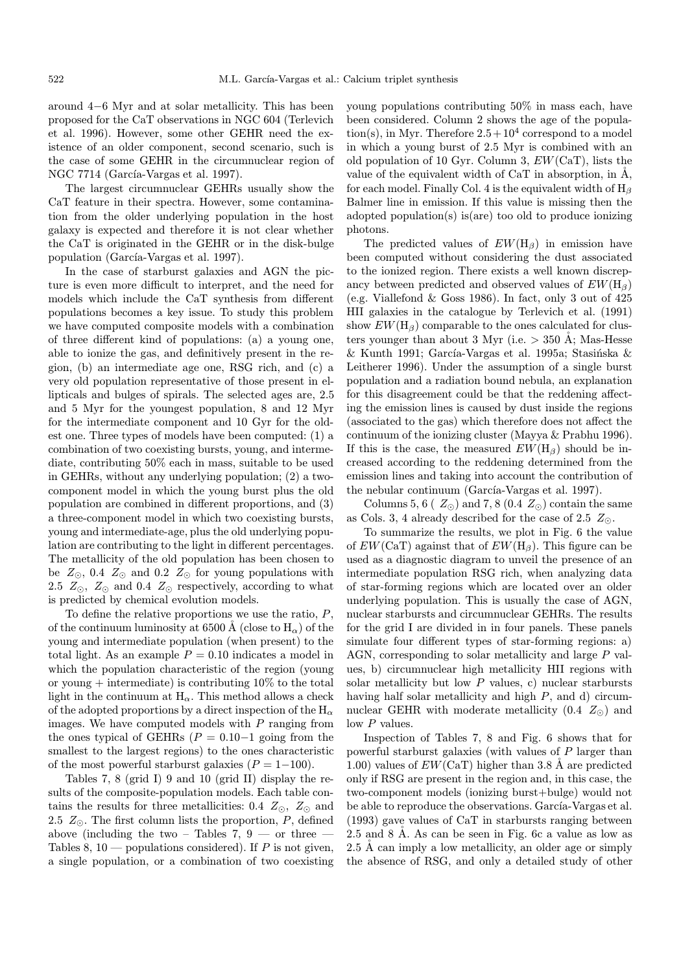around 4−6 Myr and at solar metallicity. This has been proposed for the CaT observations in NGC 604 (Terlevich et al. 1996). However, some other GEHR need the existence of an older component, second scenario, such is the case of some GEHR in the circumnuclear region of NGC 7714 (García-Vargas et al. 1997).

The largest circumnuclear GEHRs usually show the CaT feature in their spectra. However, some contamination from the older underlying population in the host galaxy is expected and therefore it is not clear whether the CaT is originated in the GEHR or in the disk-bulge population (García-Vargas et al. 1997).

In the case of starburst galaxies and AGN the picture is even more difficult to interpret, and the need for models which include the CaT synthesis from different populations becomes a key issue. To study this problem we have computed composite models with a combination of three different kind of populations: (a) a young one, able to ionize the gas, and definitively present in the region, (b) an intermediate age one, RSG rich, and (c) a very old population representative of those present in ellipticals and bulges of spirals. The selected ages are, 2.5 and 5 Myr for the youngest population, 8 and 12 Myr for the intermediate component and 10 Gyr for the oldest one. Three types of models have been computed: (1) a combination of two coexisting bursts, young, and intermediate, contributing 50% each in mass, suitable to be used in GEHRs, without any underlying population; (2) a twocomponent model in which the young burst plus the old population are combined in different proportions, and (3) a three-component model in which two coexisting bursts, young and intermediate-age, plus the old underlying population are contributing to the light in different percentages. The metallicity of the old population has been chosen to be  $Z_{\odot}$ , 0.4  $Z_{\odot}$  and 0.2  $Z_{\odot}$  for young populations with 2.5  $Z_{\odot}$ ,  $Z_{\odot}$  and 0.4  $Z_{\odot}$  respectively, according to what is predicted by chemical evolution models.

To define the relative proportions we use the ratio,  $P$ , of the continuum luminosity at 6500 Å (close to  $H_{\alpha}$ ) of the young and intermediate population (when present) to the total light. As an example  $P = 0.10$  indicates a model in which the population characteristic of the region (young or young  $+$  intermediate) is contributing 10% to the total light in the continuum at  $H_{\alpha}$ . This method allows a check of the adopted proportions by a direct inspection of the  $\mathrm{H}_{\alpha}$ images. We have computed models with  $P$  ranging from the ones typical of GEHRs ( $P = 0.10-1$  going from the smallest to the largest regions) to the ones characteristic of the most powerful starburst galaxies  $(P = 1-100)$ .

Tables 7, 8 (grid I) 9 and 10 (grid II) display the results of the composite-population models. Each table contains the results for three metallicities: 0.4  $Z_{\odot}$ ,  $Z_{\odot}$  and 2.5  $Z_{\odot}$ . The first column lists the proportion, P, defined above (including the two – Tables 7, 9 — or three  $-$ Tables 8, 10 — populations considered). If  $P$  is not given, a single population, or a combination of two coexisting young populations contributing 50% in mass each, have been considered. Column 2 shows the age of the population(s), in Myr. Therefore  $2.5+10^4$  correspond to a model in which a young burst of 2.5 Myr is combined with an old population of 10 Gyr. Column 3, EW(CaT), lists the value of the equivalent width of CaT in absorption, in  $\AA$ , for each model. Finally Col. 4 is the equivalent width of  $H_\beta$ Balmer line in emission. If this value is missing then the adopted population(s) is(are) too old to produce ionizing photons.

The predicted values of  $EW(H_\beta)$  in emission have been computed without considering the dust associated to the ionized region. There exists a well known discrepancy between predicted and observed values of  $EW(H_\beta)$ (e.g. Viallefond & Goss 1986). In fact, only 3 out of 425 HII galaxies in the catalogue by Terlevich et al. (1991) show  $EW(H_\beta)$  comparable to the ones calculated for clusters younger than about 3 Myr (i.e.  $> 350$  A; Mas-Hesse  $&$  Kunth 1991; García-Vargas et al. 1995a; Stasińska  $&$ Leitherer 1996). Under the assumption of a single burst population and a radiation bound nebula, an explanation for this disagreement could be that the reddening affecting the emission lines is caused by dust inside the regions (associated to the gas) which therefore does not affect the continuum of the ionizing cluster (Mayya & Prabhu 1996). If this is the case, the measured  $EW(H_\beta)$  should be increased according to the reddening determined from the emission lines and taking into account the contribution of the nebular continuum (García-Vargas et al. 1997).

Columns 5, 6 ( $Z_{\odot}$ ) and 7, 8 (0.4  $Z_{\odot}$ ) contain the same as Cols. 3, 4 already described for the case of 2.5  $Z_{\odot}$ .

To summarize the results, we plot in Fig. 6 the value of  $EW(CaT)$  against that of  $EW(H_\beta)$ . This figure can be used as a diagnostic diagram to unveil the presence of an intermediate population RSG rich, when analyzing data of star-forming regions which are located over an older underlying population. This is usually the case of AGN, nuclear starbursts and circumnuclear GEHRs. The results for the grid I are divided in in four panels. These panels simulate four different types of star-forming regions: a) AGN, corresponding to solar metallicity and large P values, b) circumnuclear high metallicity HII regions with solar metallicity but low  $P$  values, c) nuclear starbursts having half solar metallicity and high P, and d) circumnuclear GEHR with moderate metallicity  $(0.4 Z_{\odot})$  and low P values.

Inspection of Tables 7, 8 and Fig. 6 shows that for powerful starburst galaxies (with values of P larger than 1.00) values of  $EW(CaT)$  higher than 3.8 Å are predicted only if RSG are present in the region and, in this case, the two-component models (ionizing burst+bulge) would not be able to reproduce the observations. García-Vargas et al. (1993) gave values of CaT in starbursts ranging between 2.5 and 8 Å. As can be seen in Fig. 6c a value as low as  $2.5 \text{ Å}$  can imply a low metallicity, an older age or simply the absence of RSG, and only a detailed study of other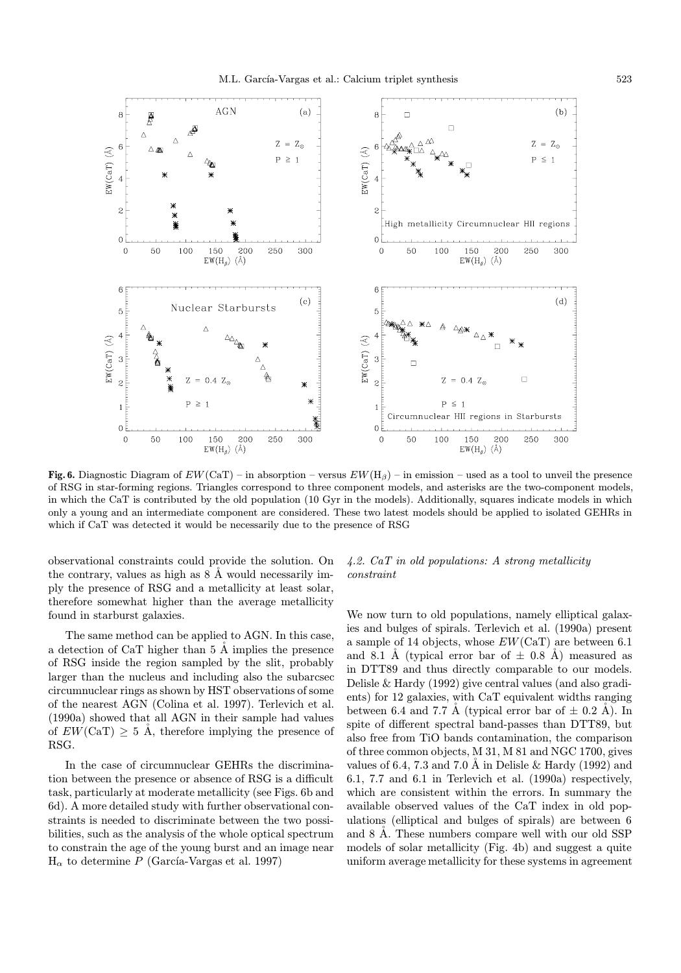

Fig. 6. Diagnostic Diagram of  $EW(CaT)$  – in absorption – versus  $EW(H_\beta)$  – in emission – used as a tool to unveil the presence of RSG in star-forming regions. Triangles correspond to three component models, and asterisks are the two-component models, in which the CaT is contributed by the old population (10 Gyr in the models). Additionally, squares indicate models in which only a young and an intermediate component are considered. These two latest models should be applied to isolated GEHRs in which if CaT was detected it would be necessarily due to the presence of RSG

observational constraints could provide the solution. On the contrary, values as high as  $8 \text{ Å}$  would necessarily imply the presence of RSG and a metallicity at least solar, therefore somewhat higher than the average metallicity found in starburst galaxies.

The same method can be applied to AGN. In this case, a detection of CaT higher than  $5 \text{ Å}$  implies the presence of RSG inside the region sampled by the slit, probably larger than the nucleus and including also the subarcsec circumnuclear rings as shown by HST observations of some of the nearest AGN (Colina et al. 1997). Terlevich et al. (1990a) showed that all AGN in their sample had values of  $EW(CaT) \geq 5$  Å, therefore implying the presence of RSG.

In the case of circumnuclear GEHRs the discrimination between the presence or absence of RSG is a difficult task, particularly at moderate metallicity (see Figs. 6b and 6d). A more detailed study with further observational constraints is needed to discriminate between the two possibilities, such as the analysis of the whole optical spectrum to constrain the age of the young burst and an image near  $H_{\alpha}$  to determine P (García-Vargas et al. 1997)

# 4.2. CaT in old populations: A strong metallicity constraint

We now turn to old populations, namely elliptical galaxies and bulges of spirals. Terlevich et al. (1990a) present a sample of 14 objects, whose  $EW(CaT)$  are between 6.1 and 8.1 Å (typical error bar of  $\pm$  0.8 Å) measured as in DTT89 and thus directly comparable to our models. Delisle & Hardy (1992) give central values (and also gradients) for 12 galaxies, with CaT equivalent widths ranging between 6.4 and 7.7 Å (typical error bar of  $\pm$  0.2 Å). In spite of different spectral band-passes than DTT89, but also free from TiO bands contamination, the comparison of three common objects, M 31, M 81 and NGC 1700, gives values of 6.4, 7.3 and 7.0 Å in Delisle & Hardy  $(1992)$  and 6.1, 7.7 and 6.1 in Terlevich et al. (1990a) respectively, which are consistent within the errors. In summary the available observed values of the CaT index in old populations (elliptical and bulges of spirals) are between 6 and 8 Å. These numbers compare well with our old SSP models of solar metallicity (Fig. 4b) and suggest a quite uniform average metallicity for these systems in agreement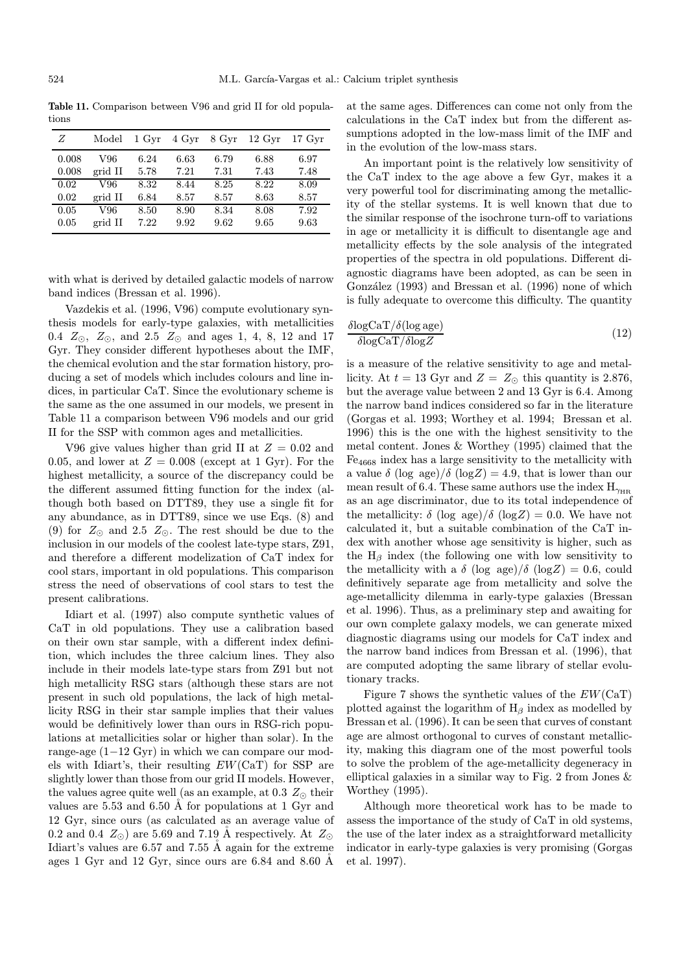Table 11. Comparison between V96 and grid II for old populations

| Ζ     | Model   | 1 Gyr | 4 Gyr | 8 Gyr | $12 \,\mathrm{Gyr}$ | $17 \,\mathrm{Gyr}$ |
|-------|---------|-------|-------|-------|---------------------|---------------------|
| 0.008 | V96     | 6.24  | 6.63  | 6.79  | 6.88                | 6.97                |
| 0.008 | grid II | 5.78  | 7.21  | 7.31  | 7.43                | 7.48                |
| 0.02  | V96     | 8.32  | 8.44  | 8.25  | 8.22                | 8.09                |
| 0.02  | grid II | 6.84  | 8.57  | 8.57  | 8.63                | 8.57                |
| 0.05  | V96     | 8.50  | 8.90  | 8.34  | 8.08                | 7.92                |
| 0.05  | grid II | 7.22  | 9.92  | 9.62  | 9.65                | 9.63                |

with what is derived by detailed galactic models of narrow band indices (Bressan et al. 1996).

Vazdekis et al. (1996, V96) compute evolutionary synthesis models for early-type galaxies, with metallicities 0.4  $Z_{\odot}$ ,  $Z_{\odot}$ , and 2.5  $Z_{\odot}$  and ages 1, 4, 8, 12 and 17 Gyr. They consider different hypotheses about the IMF, the chemical evolution and the star formation history, producing a set of models which includes colours and line indices, in particular CaT. Since the evolutionary scheme is the same as the one assumed in our models, we present in Table 11 a comparison between V96 models and our grid II for the SSP with common ages and metallicities.

V96 give values higher than grid II at  $Z = 0.02$  and 0.05, and lower at  $Z = 0.008$  (except at 1 Gyr). For the highest metallicity, a source of the discrepancy could be the different assumed fitting function for the index (although both based on DTT89, they use a single fit for any abundance, as in DTT89, since we use Eqs. (8) and (9) for  $Z_{\odot}$  and 2.5  $Z_{\odot}$ . The rest should be due to the inclusion in our models of the coolest late-type stars, Z91, and therefore a different modelization of CaT index for cool stars, important in old populations. This comparison stress the need of observations of cool stars to test the present calibrations.

Idiart et al. (1997) also compute synthetic values of CaT in old populations. They use a calibration based on their own star sample, with a different index definition, which includes the three calcium lines. They also include in their models late-type stars from Z91 but not high metallicity RSG stars (although these stars are not present in such old populations, the lack of high metallicity RSG in their star sample implies that their values would be definitively lower than ours in RSG-rich populations at metallicities solar or higher than solar). In the range-age (1−12 Gyr) in which we can compare our models with Idiart's, their resulting EW(CaT) for SSP are slightly lower than those from our grid II models. However, the values agree quite well (as an example, at 0.3  $Z_{\odot}$  their values are  $5.53$  and  $6.50$  Å for populations at 1 Gyr and 12 Gyr, since ours (as calculated as an average value of 0.2 and 0.4  $Z_{\odot}$ ) are 5.69 and 7.19 Å respectively. At  $Z_{\odot}$ Idiart's values are  $6.57$  and  $7.55$  Å again for the extreme ages 1 Gyr and 12 Gyr, since ours are  $6.84$  and  $8.60$  Å

at the same ages. Differences can come not only from the calculations in the CaT index but from the different assumptions adopted in the low-mass limit of the IMF and in the evolution of the low-mass stars.

An important point is the relatively low sensitivity of the CaT index to the age above a few Gyr, makes it a very powerful tool for discriminating among the metallicity of the stellar systems. It is well known that due to the similar response of the isochrone turn-off to variations in age or metallicity it is difficult to disentangle age and metallicity effects by the sole analysis of the integrated properties of the spectra in old populations. Different diagnostic diagrams have been adopted, as can be seen in González (1993) and Bressan et al. (1996) none of which is fully adequate to overcome this difficulty. The quantity

$$
\frac{\delta \log \text{CaT}/\delta (\log \text{age})}{\delta \log \text{CaT}/\delta \log Z} \tag{12}
$$

is a measure of the relative sensitivity to age and metallicity. At  $t = 13$  Gyr and  $Z = Z_{\odot}$  this quantity is 2.876, but the average value between 2 and 13 Gyr is 6.4. Among the narrow band indices considered so far in the literature (Gorgas et al. 1993; Worthey et al. 1994; Bressan et al. 1996) this is the one with the highest sensitivity to the metal content. Jones & Worthey (1995) claimed that the Fe<sup>4668</sup> index has a large sensitivity to the metallicity with a value  $\delta$  (log age)/ $\delta$  (logZ) = 4.9, that is lower than our mean result of 6.4. These same authors use the index  $H_{\gamma_{HR}}$ as an age discriminator, due to its total independence of the metallicity:  $\delta$  (log age)/ $\delta$  (log Z) = 0.0. We have not calculated it, but a suitable combination of the CaT index with another whose age sensitivity is higher, such as the  $H_\beta$  index (the following one with low sensitivity to the metallicity with a  $\delta$  (log age)/ $\delta$  (log Z) = 0.6, could definitively separate age from metallicity and solve the age-metallicity dilemma in early-type galaxies (Bressan et al. 1996). Thus, as a preliminary step and awaiting for our own complete galaxy models, we can generate mixed diagnostic diagrams using our models for CaT index and the narrow band indices from Bressan et al. (1996), that are computed adopting the same library of stellar evolutionary tracks.

Figure 7 shows the synthetic values of the  $EW(CaT)$ plotted against the logarithm of  $H_\beta$  index as modelled by Bressan et al. (1996). It can be seen that curves of constant age are almost orthogonal to curves of constant metallicity, making this diagram one of the most powerful tools to solve the problem of the age-metallicity degeneracy in elliptical galaxies in a similar way to Fig. 2 from Jones & Worthey (1995).

Although more theoretical work has to be made to assess the importance of the study of CaT in old systems, the use of the later index as a straightforward metallicity indicator in early-type galaxies is very promising (Gorgas et al. 1997).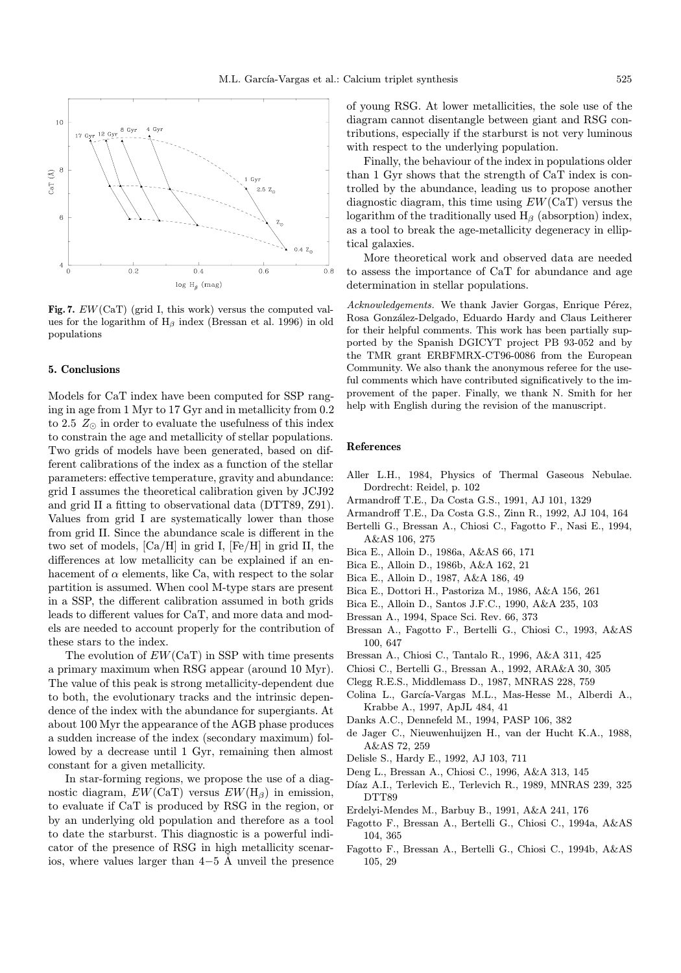

Fig. 7.  $EW(CaT)$  (grid I, this work) versus the computed values for the logarithm of  $H_\beta$  index (Bressan et al. 1996) in old populations

## 5. Conclusions

Models for CaT index have been computed for SSP ranging in age from 1 Myr to 17 Gyr and in metallicity from 0.2 to 2.5  $Z_{\odot}$  in order to evaluate the usefulness of this index to constrain the age and metallicity of stellar populations. Two grids of models have been generated, based on different calibrations of the index as a function of the stellar parameters: effective temperature, gravity and abundance: grid I assumes the theoretical calibration given by JCJ92 and grid II a fitting to observational data (DTT89, Z91). Values from grid I are systematically lower than those from grid II. Since the abundance scale is different in the two set of models, [Ca/H] in grid I, [Fe/H] in grid II, the differences at low metallicity can be explained if an enhacement of  $\alpha$  elements, like Ca, with respect to the solar partition is assumed. When cool M-type stars are present in a SSP, the different calibration assumed in both grids leads to different values for CaT, and more data and models are needed to account properly for the contribution of these stars to the index.

The evolution of  $EW(CaT)$  in SSP with time presents a primary maximum when RSG appear (around 10 Myr). The value of this peak is strong metallicity-dependent due to both, the evolutionary tracks and the intrinsic dependence of the index with the abundance for supergiants. At about 100 Myr the appearance of the AGB phase produces a sudden increase of the index (secondary maximum) followed by a decrease until 1 Gyr, remaining then almost constant for a given metallicity.

In star-forming regions, we propose the use of a diagnostic diagram,  $EW(CaT)$  versus  $EW(H_\beta)$  in emission, to evaluate if CaT is produced by RSG in the region, or by an underlying old population and therefore as a tool to date the starburst. This diagnostic is a powerful indicator of the presence of RSG in high metallicity scenarios, where values larger than  $4-5$  Å unveil the presence of young RSG. At lower metallicities, the sole use of the diagram cannot disentangle between giant and RSG contributions, especially if the starburst is not very luminous with respect to the underlying population.

Finally, the behaviour of the index in populations older than 1 Gyr shows that the strength of CaT index is controlled by the abundance, leading us to propose another diagnostic diagram, this time using  $EW(CaT)$  versus the logarithm of the traditionally used  $H_\beta$  (absorption) index, as a tool to break the age-metallicity degeneracy in elliptical galaxies.

More theoretical work and observed data are needed to assess the importance of CaT for abundance and age determination in stellar populations.

Acknowledgements. We thank Javier Gorgas, Enrique Pérez, Rosa González-Delgado, Eduardo Hardy and Claus Leitherer for their helpful comments. This work has been partially supported by the Spanish DGICYT project PB 93-052 and by the TMR grant ERBFMRX-CT96-0086 from the European Community. We also thank the anonymous referee for the useful comments which have contributed significatively to the improvement of the paper. Finally, we thank N. Smith for her help with English during the revision of the manuscript.

## References

- Aller L.H., 1984, Physics of Thermal Gaseous Nebulae. Dordrecht: Reidel, p. 102
- Armandroff T.E., Da Costa G.S., 1991, AJ 101, 1329
- Armandroff T.E., Da Costa G.S., Zinn R., 1992, AJ 104, 164
- Bertelli G., Bressan A., Chiosi C., Fagotto F., Nasi E., 1994, A&AS 106, 275
- Bica E., Alloin D., 1986a, A&AS 66, 171
- Bica E., Alloin D., 1986b, A&A 162, 21
- Bica E., Alloin D., 1987, A&A 186, 49
- Bica E., Dottori H., Pastoriza M., 1986, A&A 156, 261
- Bica E., Alloin D., Santos J.F.C., 1990, A&A 235, 103
- Bressan A., 1994, Space Sci. Rev. 66, 373
- Bressan A., Fagotto F., Bertelli G., Chiosi C., 1993, A&AS 100, 647
- Bressan A., Chiosi C., Tantalo R., 1996, A&A 311, 425
- Chiosi C., Bertelli G., Bressan A., 1992, ARA&A 30, 305
- Clegg R.E.S., Middlemass D., 1987, MNRAS 228, 759
- Colina L., García-Vargas M.L., Mas-Hesse M., Alberdi A., Krabbe A., 1997, ApJL 484, 41
- Danks A.C., Dennefeld M., 1994, PASP 106, 382
- de Jager C., Nieuwenhuijzen H., van der Hucht K.A., 1988, A&AS 72, 259
- Delisle S., Hardy E., 1992, AJ 103, 711
- Deng L., Bressan A., Chiosi C., 1996, A&A 313, 145
- Díaz A.I., Terlevich E., Terlevich R., 1989, MNRAS 239, 325 DTT89
- Erdelyi-Mendes M., Barbuy B., 1991, A&A 241, 176
- Fagotto F., Bressan A., Bertelli G., Chiosi C., 1994a, A&AS 104, 365
- Fagotto F., Bressan A., Bertelli G., Chiosi C., 1994b, A&AS 105, 29